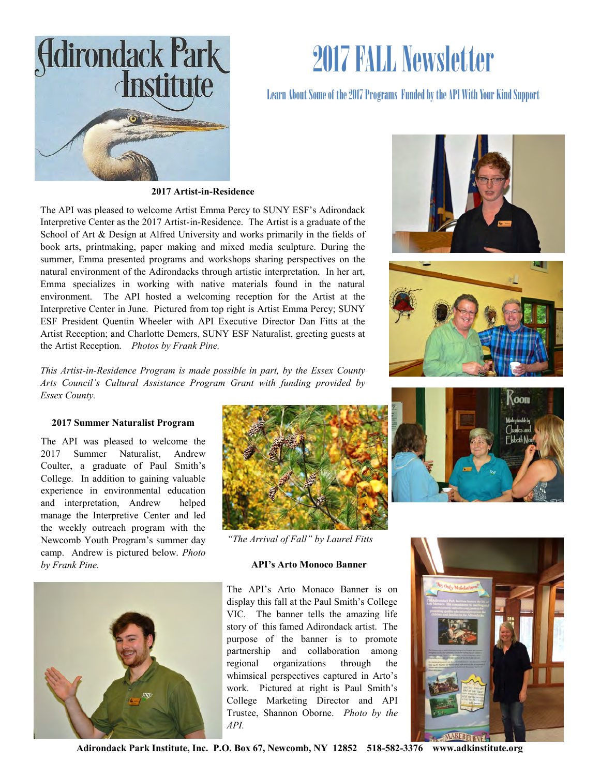

# 2017 FALL Newsletter

## Learn About Some of the 2017 Programs Funded by the API With Your Kind Support



The API was pleased to welcome Artist Emma Percy to SUNY ESF's Adirondack Interpretive Center as the 2017 Artist-in-Residence. The Artist is a graduate of the School of Art & Design at Alfred University and works primarily in the fields of book arts, printmaking, paper making and mixed media sculpture. During the summer, Emma presented programs and workshops sharing perspectives on the natural environment of the Adirondacks through artistic interpretation. In her art, Emma specializes in working with native materials found in the natural environment. The API hosted a welcoming reception for the Artist at the Interpretive Center in June. Pictured from top right is Artist Emma Percy; SUNY ESF President Quentin Wheeler with API Executive Director Dan Fitts at the Artist Reception; and Charlotte Demers, SUNY ESF Naturalist, greeting guests at the Artist Reception. *Photos by Frank Pine.* 

*This Artist-in-Residence Program is made possible in part, by the Essex County Arts Council's Cultural Assistance Program Grant with funding provided by Essex County.*

### **2017 Summer Naturalist Program**

The API was pleased to welcome the 2017 Summer Naturalist, Andrew Coulter, a graduate of Paul Smith's College. In addition to gaining valuable experience in environmental education and interpretation, Andrew helped manage the Interpretive Center and led the weekly outreach program with the Newcomb Youth Program's summer day camp. Andrew is pictured below. *Photo by Frank Pine.* **API's Arto Monoco Banner**





*"The Arrival of Fall" by Laurel Fitts*

The API's Arto Monaco Banner is on display this fall at the Paul Smith's College VIC. The banner tells the amazing life story of this famed Adirondack artist. The purpose of the banner is to promote partnership and collaboration among regional organizations through the whimsical perspectives captured in Arto's work. Pictured at right is Paul Smith's College Marketing Director and API Trustee, Shannon Oborne. *Photo by the API.*